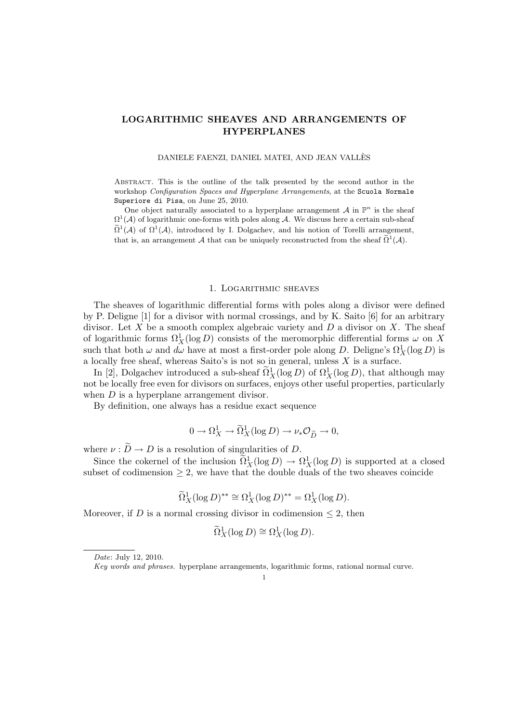# LOGARITHMIC SHEAVES AND ARRANGEMENTS OF HYPERPLANES

#### DANIELE FAENZI, DANIEL MATEI, AND JEAN VALLES`

Abstract. This is the outline of the talk presented by the second author in the workshop Configuration Spaces and Hyperplane Arrangements, at the Scuola Normale Superiore di Pisa, on June 25, 2010.

One object naturally associated to a hyperplane arrangement  $A$  in  $\mathbb{P}^n$  is the sheaf  $\Omega^1(\mathcal{A})$  of logarithmic one-forms with poles along  $\mathcal{A}$ . We discuss here a certain sub-sheaf  $\widetilde{\Omega}^1(\mathcal{A})$  of  $\Omega^1(\mathcal{A})$ , introduced by I. Dolgachev, and his notion of Torelli arrangement, that is, an arrangement  $\mathcal A$  that can be uniquely reconstructed from the sheaf  $\tilde{\Omega}^1(\mathcal A)$ .

### 1. Logarithmic sheaves

The sheaves of logarithmic differential forms with poles along a divisor were defined by P. Deligne [1] for a divisor with normal crossings, and by K. Saito [6] for an arbitrary divisor. Let X be a smooth complex algebraic variety and  $D$  a divisor on X. The sheaf of logarithmic forms  $\Omega^1_X(\log D)$  consists of the meromorphic differential forms  $\omega$  on X such that both  $\omega$  and  $d\omega$  have at most a first-order pole along D. Deligne's  $\Omega_X^1(\log D)$  is a locally free sheaf, whereas Saito's is not so in general, unless  $X$  is a surface.

In [2], Dolgachev introduced a sub-sheaf  $\tilde{\Omega}_X^1(\log D)$  of  $\Omega_X^1(\log D)$ , that although may not be locally free even for divisors on surfaces, enjoys other useful properties, particularly when  $D$  is a hyperplane arrangement divisor.

By definition, one always has a residue exact sequence

$$
0 \to \Omega^1_X \to \widetilde{\Omega}^1_X(\log D) \to \nu_* \mathcal{O}_{\widetilde{D}} \to 0,
$$

where  $\nu : \widetilde{D} \to D$  is a resolution of singularities of D.

Since the cokernel of the inclusion  $\tilde{\Omega}_X^1(\log D) \to \Omega_X^1(\log D)$  is supported at a closed subset of codimension  $\geq 2$ , we have that the double duals of the two sheaves coincide

$$
\widetilde{\Omega}_X^1(\log D)^{**} \cong \Omega_X^1(\log D)^{**} = \Omega_X^1(\log D).
$$

Moreover, if D is a normal crossing divisor in codimension  $\leq 2$ , then

$$
\widetilde{\Omega}_X^1(\log D) \cong \Omega_X^1(\log D).
$$

1

Date: July 12, 2010.

Key words and phrases. hyperplane arrangements, logarithmic forms, rational normal curve.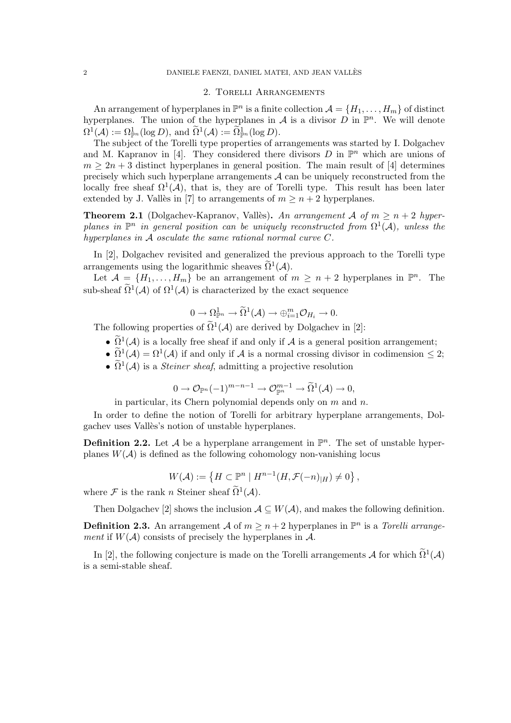## 2. Torelli Arrangements

An arrangement of hyperplanes in  $\mathbb{P}^n$  is a finite collection  $\mathcal{A} = \{H_1, \ldots, H_m\}$  of distinct hyperplanes. The union of the hyperplanes in A is a divisor D in  $\mathbb{P}^n$ . We will denote  $\Omega^1(\mathcal{A}) := \Omega^1_{\mathbb{P}^n}(\log D), \text{ and } \widetilde{\Omega}^1(\mathcal{A}) := \widetilde{\Omega}^1_{\mathbb{P}^n}(\log D).$ 

The subject of the Torelli type properties of arrangements was started by I. Dolgachev and M. Kapranov in [4]. They considered there divisors  $D$  in  $\mathbb{P}^n$  which are unions of  $m \geq 2n+3$  distinct hyperplanes in general position. The main result of [4] determines precisely which such hyperplane arrangements  $A$  can be uniquely reconstructed from the locally free sheaf  $\Omega^1(\mathcal{A})$ , that is, they are of Torelli type. This result has been later extended by J. Vallès in [7] to arrangements of  $m > n + 2$  hyperplanes.

**Theorem 2.1** (Dolgachev-Kapranov, Vallès). An arrangement A of  $m > n + 2$  hyperplanes in  $\mathbb{P}^n$  in general position can be uniquely reconstructed from  $\Omega^1(\mathcal{A})$ , unless the hyperplanes in A osculate the same rational normal curve C.

In [2], Dolgachev revisited and generalized the previous approach to the Torelli type arrangements using the logarithmic sheaves  $\widetilde{\Omega}^1(\mathcal{A})$ .

Let  $\mathcal{A} = \{H_1, \ldots, H_m\}$  be an arrangement of  $m \geq n+2$  hyperplanes in  $\mathbb{P}^n$ . The sub-sheaf  $\tilde{\Omega}^1(\mathcal{A})$  of  $\Omega^1(\mathcal{A})$  is characterized by the exact sequence

$$
0 \to \Omega^1_{\mathbb{P}^n} \to \widetilde{\Omega}^1(\mathcal{A}) \to \oplus_{i=1}^m \mathcal{O}_{H_i} \to 0.
$$

The following properties of  $\widetilde{\Omega}^1(\mathcal{A})$  are derived by Dolgachev in [2]:

- $\widetilde{\Omega}^1(\mathcal{A})$  is a locally free sheaf if and only if  $\mathcal{A}$  is a general position arrangement;
- $\widetilde{\Omega}^1(\mathcal{A}) = \Omega^1(\mathcal{A})$  if and only if  $\mathcal{A}$  is a normal crossing divisor in codimension  $\leq 2$ ;
- $\tilde{\Omega}^1(\mathcal{A})$  is a *Steiner sheaf*, admitting a projective resolution

$$
0\to \mathcal{O}_{\mathbb{P}^n}(-1)^{m-n-1}\to \mathcal{O}_{\mathbb{P}^n}^{m-1}\to \widetilde{\Omega}^1(\mathcal{A})\to 0,
$$

in particular, its Chern polynomial depends only on  $m$  and  $n$ .

In order to define the notion of Torelli for arbitrary hyperplane arrangements, Dolgachev uses Vallès's notion of unstable hyperplanes.

**Definition 2.2.** Let A be a hyperplane arrangement in  $\mathbb{P}^n$ . The set of unstable hyperplanes  $W(\mathcal{A})$  is defined as the following cohomology non-vanishing locus

$$
W(\mathcal{A}) := \left\{ H \subset \mathbb{P}^n \mid H^{n-1}(H, \mathcal{F}(-n)|_H) \neq 0 \right\},\,
$$

where  $\mathcal F$  is the rank n Steiner sheaf  $\widetilde{\Omega}^1(\mathcal A)$ .

Then Dolgachev [2] shows the inclusion  $A \subseteq W(A)$ , and makes the following definition.

**Definition 2.3.** An arrangement A of  $m \geq n+2$  hyperplanes in  $\mathbb{P}^n$  is a Torelli arrangement if  $W(\mathcal{A})$  consists of precisely the hyperplanes in  $\mathcal{A}$ .

In [2], the following conjecture is made on the Torelli arrangements  $\mathcal A$  for which  $\tilde{\Omega}^1(\mathcal A)$ is a semi-stable sheaf.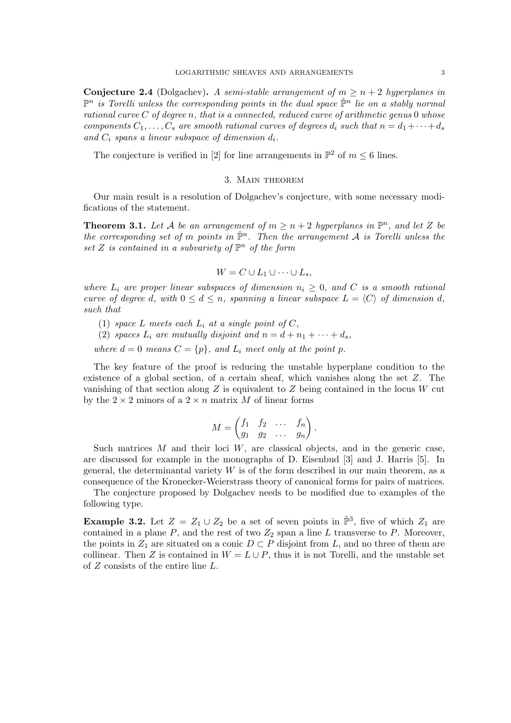**Conjecture 2.4** (Dolgachev). A semi-stable arrangement of  $m \geq n+2$  hyperplanes in  $\mathbb{P}^n$  is Torelli unless the corresponding points in the dual space  $\check{\mathbb{P}}^n$  lie on a stably normal rational curve  $C$  of degree n, that is a connected, reduced curve of arithmetic genus  $0$  whose components  $C_1, \ldots, C_s$  are smooth rational curves of degrees  $d_i$  such that  $n = d_1 + \cdots + d_s$ and  $C_i$  spans a linear subspace of dimension  $d_i$ .

The conjecture is verified in [2] for line arrangements in  $\mathbb{P}^2$  of  $m \leq 6$  lines.

### 3. Main theorem

Our main result is a resolution of Dolgachev's conjecture, with some necessary modifications of the statement.

**Theorem 3.1.** Let A be an arrangement of  $m \ge n+2$  hyperplanes in  $\mathbb{P}^n$ , and let Z be the corresponding set of m points in  $\check{\mathbb{P}}^n$ . Then the arrangement A is Torelli unless the set Z is contained in a subvariety of  $\mathbb{P}^n$  of the form

$$
W = C \cup L_1 \cup \cdots \cup L_s,
$$

where  $L_i$  are proper linear subspaces of dimension  $n_i \geq 0$ , and C is a smooth rational curve of degree d, with  $0 \leq d \leq n$ , spanning a linear subspace  $L = \langle C \rangle$  of dimension d, such that

- (1) space L meets each  $L_i$  at a single point of C,
- (2) spaces  $L_i$  are mutually disjoint and  $n = d + n_1 + \cdots + d_s$ ,

where  $d = 0$  means  $C = \{p\}$ , and  $L_i$  meet only at the point p.

The key feature of the proof is reducing the unstable hyperplane condition to the existence of a global section, of a certain sheaf, which vanishes along the set Z. The vanishing of that section along  $Z$  is equivalent to  $Z$  being contained in the locus  $W$  cut by the  $2 \times 2$  minors of a  $2 \times n$  matrix M of linear forms

$$
M = \begin{pmatrix} f_1 & f_2 & \dots & f_n \\ g_1 & g_2 & \dots & g_n \end{pmatrix}.
$$

Such matrices  $M$  and their loci  $W$ , are classical objects, and in the generic case, are discussed for example in the monographs of D. Eisenbud [3] and J. Harris [5]. In general, the determinantal variety  $W$  is of the form described in our main theorem, as a consequence of the Kronecker-Weierstrass theory of canonical forms for pairs of matrices.

The conjecture proposed by Dolgachev needs to be modified due to examples of the following type.

**Example 3.2.** Let  $Z = Z_1 \cup Z_2$  be a set of seven points in  $\tilde{\mathbb{P}}^3$ , five of which  $Z_1$  are contained in a plane  $P$ , and the rest of two  $Z_2$  span a line  $L$  transverse to  $P$ . Moreover, the points in  $Z_1$  are situated on a conic  $D \subset P$  disjoint from L, and no three of them are collinear. Then Z is contained in  $W = L \cup P$ , thus it is not Torelli, and the unstable set of Z consists of the entire line L.